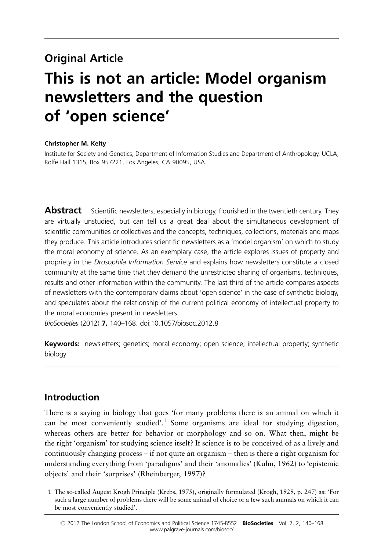# **Original Article** This is not an article: Model organism newsletters and the question of 'open science'

#### Christopher M. Kelty

Institute for Society and Genetics, Department of Information Studies and Department of Anthropology, UCLA, Rolfe Hall 1315, Box 957221, Los Angeles, CA 90095, USA.

**Abstract** Scientific newsletters, especially in biology, flourished in the twentieth century. They are virtually unstudied, but can tell us a great deal about the simultaneous development of scientific communities or collectives and the concepts, techniques, collections, materials and maps they produce. This article introduces scientific newsletters as a 'model organism' on which to study the moral economy of science. As an exemplary case, the article explores issues of property and propriety in the Drosophila Information Service and explains how newsletters constitute a closed community at the same time that they demand the unrestricted sharing of organisms, techniques, results and other information within the community. The last third of the article compares aspects of newsletters with the contemporary claims about 'open science' in the case of synthetic biology, and speculates about the relationship of the current political economy of intellectual property to the moral economies present in newsletters.

BioSocieties (2012) 7, 140–168. doi:10.1057/biosoc.2012.8

Keywords: newsletters; genetics; moral economy; open science; intellectual property; synthetic biology

### Introduction

There is a saying in biology that goes 'for many problems there is an animal on which it can be most conveniently studied'.<sup>1</sup> Some organisms are ideal for studying digestion, whereas others are better for behavior or morphology and so on. What then, might be the right 'organism' for studying science itself? If science is to be conceived of as a lively and continuously changing process – if not quite an organism – then is there a right organism for understanding everything from 'paradigms' and their 'anomalies' (Kuhn, 1962) to 'epistemic objects' and their 'surprises' (Rheinberger, 1997)?

<sup>1</sup> The so-called August Krogh Principle (Krebs, 1975), originally formulated (Krogh, 1929, p. 247) as: 'For such a large number of problems there will be some animal of choice or a few such animals on which it can be most conveniently studied'.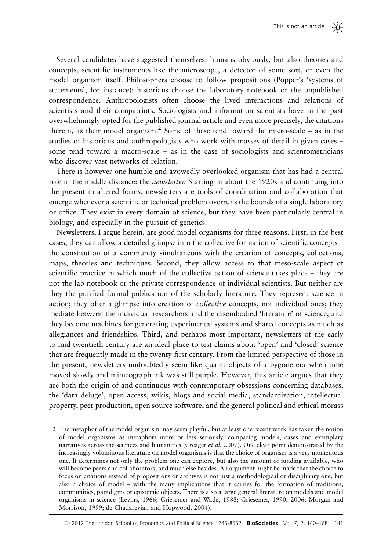Several candidates have suggested themselves: humans obviously, but also theories and concepts, scientific instruments like the microscope, a detector of some sort, or even the model organism itself. Philosophers choose to follow propositions (Popper's 'systems of statements', for instance); historians choose the laboratory notebook or the unpublished correspondence. Anthropologists often choose the lived interactions and relations of scientists and their compatriots. Sociologists and information scientists have in the past overwhelmingly opted for the published journal article and even more precisely, the citations therein, as their model organism.<sup>2</sup> Some of these tend toward the micro-scale – as in the studies of historians and anthropologists who work with masses of detail in given cases – some tend toward a macro-scale – as in the case of sociologists and scientometricians who discover vast networks of relation.

There is however one humble and avowedly overlooked organism that has had a central role in the middle distance: the *newsletter*. Starting in about the 1920s and continuing into the present in altered forms, newsletters are tools of coordination and collaboration that emerge whenever a scientific or technical problem overruns the bounds of a single laboratory or office. They exist in every domain of science, but they have been particularly central in biology, and especially in the pursuit of genetics.

Newsletters, I argue herein, are good model organisms for three reasons. First, in the best cases, they can allow a detailed glimpse into the collective formation of scientific concepts – the constitution of a community simultaneous with the creation of concepts, collections, maps, theories and techniques. Second, they allow access to that meso-scale aspect of scientific practice in which much of the collective action of science takes place – they are not the lab notebook or the private correspondence of individual scientists. But neither are they the purified formal publication of the scholarly literature. They represent science in action; they offer a glimpse into creation of *collective* concepts, not individual ones; they mediate between the individual researchers and the disembodied 'literature' of science, and they become machines for generating experimental systems and shared concepts as much as allegiances and friendships. Third, and perhaps most important, newsletters of the early to mid-twentieth century are an ideal place to test claims about 'open' and 'closed' science that are frequently made in the twenty-first century. From the limited perspective of those in the present, newsletters undoubtedly seem like quaint objects of a bygone era when time moved slowly and mimeograph ink was still purple. However, this article argues that they are both the origin of and continuous with contemporary obsessions concerning databases, the 'data deluge', open access, wikis, blogs and social media, standardization, intellectual property, peer production, open source software, and the general political and ethical morass

2 The metaphor of the model organism may seem playful, but at least one recent work has taken the notion of model organisms as metaphors more or less seriously, comparing models, cases and exemplary narratives across the sciences and humanities (Creager et al, 2007). One clear point demonstrated by the increasingly voluminous literature on model organisms is that the choice of organism is a very momentous one. It determines not only the problem one can explore, but also the amount of funding available, who will become peers and collaborators, and much else besides. An argument might be made that the choice to focus on citations instead of propositions or archives is not just a methodological or disciplinary one, but also a choice of model – with the many implications that it carries for the formation of traditions, communities, paradigms or epistemic objects. There is also a large general literature on models and model organisms in science (Levins, 1966; Griesemer and Wade, 1988; Griesemer, 1990, 2006; Morgan and Morrison, 1999; de Chadarevian and Hopwood, 2004).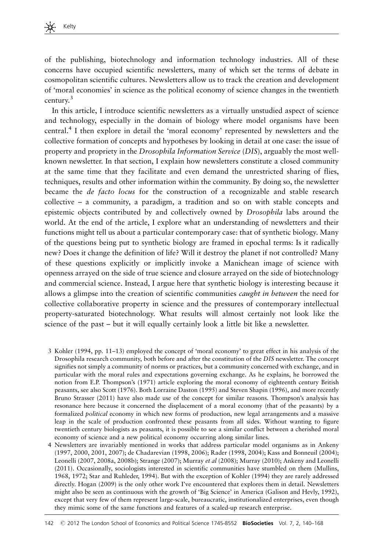of the publishing, biotechnology and information technology industries. All of these concerns have occupied scientific newsletters, many of which set the terms of debate in cosmopolitan scientific cultures. Newsletters allow us to track the creation and development of 'moral economies' in science as the political economy of science changes in the twentieth century.<sup>3</sup>

In this article, I introduce scientific newsletters as a virtually unstudied aspect of science and technology, especially in the domain of biology where model organisms have been central.<sup>4</sup> I then explore in detail the 'moral economy' represented by newsletters and the collective formation of concepts and hypotheses by looking in detail at one case: the issue of property and propriety in the Drosophila Information Service (DIS), arguably the most wellknown newsletter. In that section, I explain how newsletters constitute a closed community at the same time that they facilitate and even demand the unrestricted sharing of flies, techniques, results and other information within the community. By doing so, the newsletter became the de facto locus for the construction of a recognizable and stable research collective – a community, a paradigm, a tradition and so on with stable concepts and epistemic objects contributed by and collectively owned by Drosophila labs around the world. At the end of the article, I explore what an understanding of newsletters and their functions might tell us about a particular contemporary case: that of synthetic biology. Many of the questions being put to synthetic biology are framed in epochal terms: Is it radically new? Does it change the definition of life? Will it destroy the planet if not controlled? Many of these questions explicitly or implicitly invoke a Manichean image of science with openness arrayed on the side of true science and closure arrayed on the side of biotechnology and commercial science. Instead, I argue here that synthetic biology is interesting because it allows a glimpse into the creation of scientific communities *caught in between* the need for collective collaborative property in science and the pressures of contemporary intellectual property-saturated biotechnology. What results will almost certainly not look like the science of the past – but it will equally certainly look a little bit like a newsletter.

- 3 Kohler (1994, pp. 11–13) employed the concept of 'moral economy' to great effect in his analysis of the Drosophila research community, both before and after the constitution of the DIS newsletter. The concept signifies not simply a community of norms or practices, but a community concerned with exchange, and in particular with the moral rules and expectations governing exchange. As he explains, he borrowed the notion from E.P. Thompson's (1971) article exploring the moral economy of eighteenth century British peasants, see also Scott (1976). Both Lorraine Daston (1995) and Steven Shapin (1996), and more recently Bruno Strasser (2011) have also made use of the concept for similar reasons. Thompson's analysis has resonance here because it concerned the displacement of a moral economy (that of the peasants) by a formalized political economy in which new forms of production, new legal arrangements and a massive leap in the scale of production confronted these peasants from all sides. Without wanting to figure twentieth century biologists as peasants, it is possible to see a similar conflict between a cherished moral economy of science and a new political economy occurring along similar lines.
- 4 Newsletters are invariably mentioned in works that address particular model organisms as in Ankeny (1997, 2000, 2001, 2007); de Chadarevian (1998, 2006); Rader (1998, 2004); Kass and Bonneuil (2004); Leonelli (2007, 2008a, 2008b); Strange (2007); Murray et al (2008); Murray (2010); Ankeny and Leonelli (2011). Occasionally, sociologists interested in scientific communities have stumbled on them (Mullins, 1968, 1972; Star and Ruhleder, 1994). But with the exception of Kohler (1994) they are rarely addressed directly. Hogan (2009) is the only other work I've encountered that explores them in detail. Newsletters might also be seen as continuous with the growth of 'Big Science' in America (Galison and Hevly, 1992), except that very few of them represent large-scale, bureaucratic, institutionalized enterprises, even though they mimic some of the same functions and features of a scaled-up research enterprise.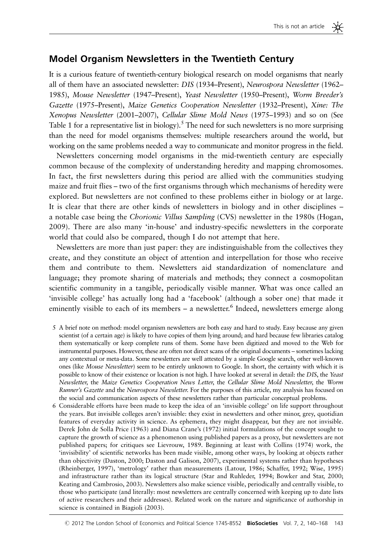# Model Organism Newsletters in the Twentieth Century

It is a curious feature of twentieth-century biological research on model organisms that nearly all of them have an associated newsletter: DIS (1934–Present), Neurospora Newsletter (1962– 1985), Mouse Newsletter (1947–Present), Yeast Newsletter (1950–Present), Worm Breeder's Gazette (1975–Present), Maize Genetics Cooperation Newsletter (1932–Present), Xine: The Xenopus Newsletter (2001–2007), Cellular Slime Mold News (1975–1993) and so on (See Table 1 for a representative list in biology).<sup>5</sup> The need for such newsletters is no more surprising than the need for model organisms themselves: multiple researchers around the world, but working on the same problems needed a way to communicate and monitor progress in the field.

Newsletters concerning model organisms in the mid-twentieth century are especially common because of the complexity of understanding heredity and mapping chromosomes. In fact, the first newsletters during this period are allied with the communities studying maize and fruit flies – two of the first organisms through which mechanisms of heredity were explored. But newsletters are not confined to these problems either in biology or at large. It is clear that there are other kinds of newsletters in biology and in other disciplines – a notable case being the Chorionic Villus Sampling (CVS) newsletter in the 1980s (Hogan, 2009). There are also many 'in-house' and industry-specific newsletters in the corporate world that could also be compared, though I do not attempt that here.

Newsletters are more than just paper: they are indistinguishable from the collectives they create, and they constitute an object of attention and interpellation for those who receive them and contribute to them. Newsletters aid standardization of nomenclature and language; they promote sharing of materials and methods; they connect a cosmopolitan scientific community in a tangible, periodically visible manner. What was once called an 'invisible college' has actually long had a 'facebook' (although a sober one) that made it eminently visible to each of its members – a newsletter.<sup>6</sup> Indeed, newsletters emerge along

- 5 A brief note on method: model organism newsletters are both easy and hard to study. Easy because any given scientist (of a certain age) is likely to have copies of them lying around; and hard because few libraries catalog them systematically or keep complete runs of them. Some have been digitized and moved to the Web for instrumental purposes. However, these are often not direct scans of the original documents – sometimes lacking any contextual or meta-data. Some newsletters are well attested by a simple Google search, other well-known ones (like Mouse Newsletter) seem to be entirely unknown to Google. In short, the certainty with which it is possible to know of their existence or location is not high. I have looked at several in detail: the DIS, the Yeast Newsletter, the Maize Genetics Cooperation News Letter, the Cellular Slime Mold Newsletter, the Worm Runner's Gazette and the Neurospora Newsletter. For the purposes of this article, my analysis has focused on the social and communication aspects of these newsletters rather than particular conceptual problems.
- 6 Considerable efforts have been made to keep the idea of an 'invisible college' on life support throughout the years. But invisible colleges aren't invisible: they exist in newsletters and other minor, grey, quotidian features of everyday activity in science. As ephemera, they might disappear, but they are not invisible. Derek John de Solla Price (1963) and Diana Crane's (1972) initial formulations of the concept sought to capture the growth of science as a phenomenon using published papers as a proxy, but newsletters are not published papers; for critiques see Lievrouw, 1989. Beginning at least with Collins (1974) work, the 'invisibility' of scientific networks has been made visible, among other ways, by looking at objects rather than objectivity (Daston, 2000; Daston and Galison, 2007), experimental systems rather than hypotheses (Rheinberger, 1997), 'metrology' rather than measurements (Latour, 1986; Schaffer, 1992; Wise, 1995) and infrastructure rather than its logical structure (Star and Ruhleder, 1994; Bowker and Star, 2000; Keating and Cambrosio, 2003). Newsletters also make science visible, periodically and centrally visible, to those who participate (and literally: most newsletters are centrally concerned with keeping up to date lists of active researchers and their addresses). Related work on the nature and significance of authorship in science is contained in Biagioli (2003).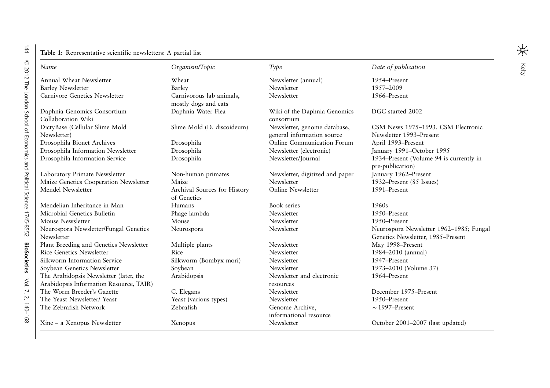| Name                                                                              | Organism/Topic                                   | Type                                                       | Date of publication                                                          |
|-----------------------------------------------------------------------------------|--------------------------------------------------|------------------------------------------------------------|------------------------------------------------------------------------------|
| Annual Wheat Newsletter                                                           | Wheat                                            | Newsletter (annual)                                        | 1954-Present                                                                 |
| <b>Barley Newsletter</b>                                                          | Barley                                           | Newsletter                                                 | 1957-2009                                                                    |
| Carnivore Genetics Newsletter                                                     | Carnivorous lab animals,<br>mostly dogs and cats | Newsletter                                                 | 1966-Present                                                                 |
| Daphnia Genomics Consortium<br>Collaboration Wiki                                 | Daphnia Water Flea                               | Wiki of the Daphnia Genomics<br>consortium                 | DGC started 2002                                                             |
| DictyBase (Cellular Slime Mold<br>Newsletter)                                     | Slime Mold (D. discoideum)                       | Newsletter, genome database,<br>general information source | CSM News 1975–1993. CSM Electronic<br>Newsletter 1993-Present                |
| Drosophila Bionet Archives                                                        | Drosophila                                       | Online Communication Forum                                 | April 1993–Present                                                           |
| Drosophila Information Newsletter                                                 | Drosophila                                       | Newsletter (electronic)                                    | January 1991–October 1995                                                    |
| Drosophila Information Service                                                    | Drosophila                                       | Newsletter/Journal                                         | 1934–Present (Volume 94 is currently in<br>pre-publication)                  |
| Laboratory Primate Newsletter                                                     | Non-human primates                               | Newsletter, digitized and paper                            | January 1962-Present                                                         |
| Maize Genetics Cooperation Newsletter                                             | Maize                                            | Newsletter                                                 | 1932–Present (85 Issues)                                                     |
| Mendel Newsletter                                                                 | Archival Sources for History<br>of Genetics      | Online Newsletter                                          | 1991-Present                                                                 |
| Mendelian Inheritance in Man                                                      | Humans                                           | Book series                                                | 1960s                                                                        |
| Microbial Genetics Bulletin                                                       | Phage lambda                                     | Newsletter                                                 | 1950–Present                                                                 |
| Mouse Newsletter                                                                  | Mouse                                            | Newsletter                                                 | 1950-Present                                                                 |
| Neurospora Newsletter/Fungal Genetics<br>Newsletter                               | Neurospora                                       | Newsletter                                                 | Neurospora Newsletter 1962-1985; Fungal<br>Genetics Newsletter, 1985-Present |
| Plant Breeding and Genetics Newsletter                                            | Multiple plants                                  | Newsletter                                                 | May 1998-Present                                                             |
| <b>Rice Genetics Newsletter</b>                                                   | Rice                                             | Newsletter                                                 | 1984-2010 (annual)                                                           |
| Silkworm Information Service                                                      | Silkworm (Bombyx mori)                           | Newsletter                                                 | 1947-Present                                                                 |
| Soybean Genetics Newsletter                                                       | Soybean                                          | Newsletter                                                 | 1973-2010 (Volume 37)                                                        |
| The Arabidopsis Newsletter (later, the<br>Arabidopsis Information Resource, TAIR) | Arabidopsis                                      | Newsletter and electronic<br>resources                     | 1964-Present                                                                 |
| The Worm Breeder's Gazette                                                        | C. Elegans                                       | Newsletter                                                 | December 1975-Present                                                        |
| The Yeast Newsletter/Yeast                                                        | Yeast (various types)                            | Newsletter                                                 | 1950-Present                                                                 |
| The Zebrafish Network                                                             | Zebrafish                                        | Genome Archive,<br>informational resource                  | $\sim$ 1997–Present                                                          |
| Xine – a Xenopus Newsletter                                                       | Xenopus                                          | Newsletter                                                 | October 2001–2007 (last updated)                                             |

#### Table 1: Representative scientific newsletters: A partial list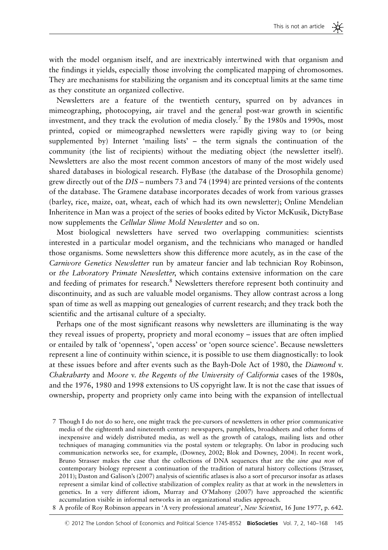with the model organism itself, and are inextricably intertwined with that organism and the findings it yields, especially those involving the complicated mapping of chromosomes. They are mechanisms for stabilizing the organism and its conceptual limits at the same time as they constitute an organized collective.

Newsletters are a feature of the twentieth century, spurred on by advances in mimeographing, photocopying, air travel and the general post-war growth in scientific investment, and they track the evolution of media closely.<sup>7</sup> By the 1980s and 1990s, most printed, copied or mimeographed newsletters were rapidly giving way to (or being supplemented by) Internet 'mailing lists' – the term signals the continuation of the community (the list of recipients) without the mediating object (the newsletter itself). Newsletters are also the most recent common ancestors of many of the most widely used shared databases in biological research. FlyBase (the database of the Drosophila genome) grew directly out of the DIS – numbers 73 and 74 (1994) are printed versions of the contents of the database. The Gramene database incorporates decades of work from various grasses (barley, rice, maize, oat, wheat, each of which had its own newsletter); Online Mendelian Inheritence in Man was a project of the series of books edited by Victor McKusik, DictyBase now supplements the Cellular Slime Mold Newsletter and so on.

Most biological newsletters have served two overlapping communities: scientists interested in a particular model organism, and the technicians who managed or handled those organisms. Some newsletters show this difference more acutely, as in the case of the Carnivore Genetics Newsletter run by amateur fancier and lab technician Roy Robinson, or the Laboratory Primate Newsletter, which contains extensive information on the care and feeding of primates for research.<sup>8</sup> Newsletters therefore represent both continuity and discontinuity, and as such are valuable model organisms. They allow contrast across a long span of time as well as mapping out genealogies of current research; and they track both the scientific and the artisanal culture of a specialty.

Perhaps one of the most significant reasons why newsletters are illuminating is the way they reveal issues of property, propriety and moral economy – issues that are often implied or entailed by talk of 'openness', 'open access' or 'open source science'. Because newsletters represent a line of continuity within science, it is possible to use them diagnostically: to look at these issues before and after events such as the Bayh-Dole Act of 1980, the Diamond v. Chakrabarty and Moore v. the Regents of the University of California cases of the 1980s, and the 1976, 1980 and 1998 extensions to US copyright law. It is not the case that issues of ownership, property and propriety only came into being with the expansion of intellectual

- 7 Though I do not do so here, one might track the pre-cursors of newsletters in other prior communicative media of the eighteenth and nineteenth century: newspapers, pamphlets, broadsheets and other forms of inexpensive and widely distributed media, as well as the growth of catalogs, mailing lists and other techniques of managing communities via the postal system or telegraphy. On labor in producing such communication networks see, for example, (Downey, 2002; Blok and Downey, 2004). In recent work, Bruno Strasser makes the case that the collections of DNA sequences that are the sine qua non of contemporary biology represent a continuation of the tradition of natural history collections (Strasser, 2011); Daston and Galison's (2007) analysis of scientific atlases is also a sort of precursor insofar as atlases represent a similar kind of collective stabilization of complex reality as that at work in the newsletters in genetics. In a very different idiom, Murray and O'Mahony (2007) have approached the scientific accumulation visible in informal networks in an organizational studies approach.
- 8 A profile of Roy Robinson appears in 'A very professional amateur', New Scientist, 16 June 1977, p. 642.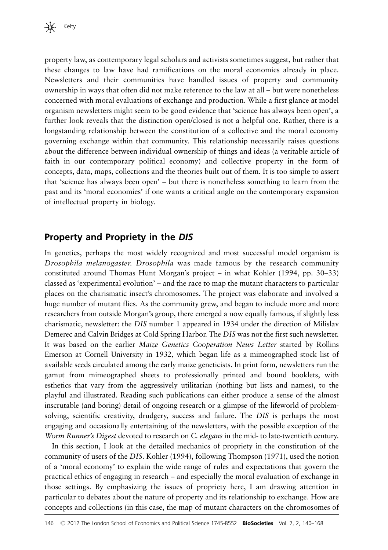property law, as contemporary legal scholars and activists sometimes suggest, but rather that these changes to law have had ramifications on the moral economies already in place. Newsletters and their communities have handled issues of property and community ownership in ways that often did not make reference to the law at all – but were nonetheless concerned with moral evaluations of exchange and production. While a first glance at model organism newsletters might seem to be good evidence that 'science has always been open', a further look reveals that the distinction open/closed is not a helpful one. Rather, there is a longstanding relationship between the constitution of a collective and the moral economy governing exchange within that community. This relationship necessarily raises questions about the difference between individual ownership of things and ideas (a veritable article of faith in our contemporary political economy) and collective property in the form of concepts, data, maps, collections and the theories built out of them. It is too simple to assert that 'science has always been open' – but there is nonetheless something to learn from the past and its 'moral economies' if one wants a critical angle on the contemporary expansion of intellectual property in biology.

### Property and Propriety in the DIS

In genetics, perhaps the most widely recognized and most successful model organism is Drosophila melanogaster. Drosophila was made famous by the research community constituted around Thomas Hunt Morgan's project – in what Kohler (1994, pp. 30–33) classed as 'experimental evolution' – and the race to map the mutant characters to particular places on the charismatic insect's chromosomes. The project was elaborate and involved a huge number of mutant flies. As the community grew, and began to include more and more researchers from outside Morgan's group, there emerged a now equally famous, if slightly less charismatic, newsletter: the DIS number 1 appeared in 1934 under the direction of Milislav Demerec and Calvin Bridges at Cold Spring Harbor. The DIS was not the first such newsletter. It was based on the earlier Maize Genetics Cooperation News Letter started by Rollins Emerson at Cornell University in 1932, which began life as a mimeographed stock list of available seeds circulated among the early maize geneticists. In print form, newsletters run the gamut from mimeographed sheets to professionally printed and bound booklets, with esthetics that vary from the aggressively utilitarian (nothing but lists and names), to the playful and illustrated. Reading such publications can either produce a sense of the almost inscrutable (and boring) detail of ongoing research or a glimpse of the lifeworld of problemsolving, scientific creativity, drudgery, success and failure. The DIS is perhaps the most engaging and occasionally entertaining of the newsletters, with the possible exception of the Worm Runner's Digest devoted to research on C. elegans in the mid- to late-twentieth century.

In this section, I look at the detailed mechanics of propriety in the constitution of the community of users of the DIS. Kohler (1994), following Thompson (1971), used the notion of a 'moral economy' to explain the wide range of rules and expectations that govern the practical ethics of engaging in research – and especially the moral evaluation of exchange in those settings. By emphasizing the issues of propriety here, I am drawing attention in particular to debates about the nature of property and its relationship to exchange. How are concepts and collections (in this case, the map of mutant characters on the chromosomes of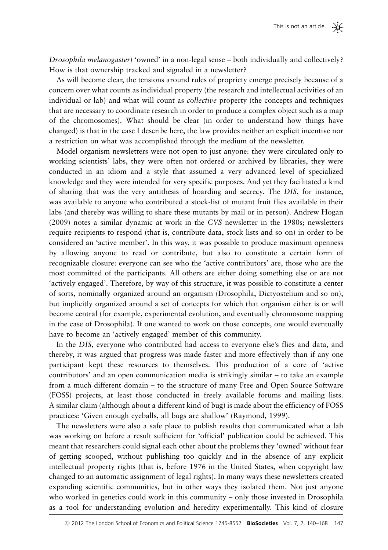Drosophila melanogaster) 'owned' in a non-legal sense – both individually and collectively? How is that ownership tracked and signaled in a newsletter?

As will become clear, the tensions around rules of propriety emerge precisely because of a concern over what counts as individual property (the research and intellectual activities of an individual or lab) and what will count as *collective* property (the concepts and techniques that are necessary to coordinate research in order to produce a complex object such as a map of the chromosomes). What should be clear (in order to understand how things have changed) is that in the case I describe here, the law provides neither an explicit incentive nor a restriction on what was accomplished through the medium of the newsletter.

Model organism newsletters were not open to just anyone: they were circulated only to working scientists' labs, they were often not ordered or archived by libraries, they were conducted in an idiom and a style that assumed a very advanced level of specialized knowledge and they were intended for very specific purposes. And yet they facilitated a kind of sharing that was the very antithesis of hoarding and secrecy. The DIS, for instance, was available to anyone who contributed a stock-list of mutant fruit flies available in their labs (and thereby was willing to share these mutants by mail or in person). Andrew Hogan (2009) notes a similar dynamic at work in the CVS newsletter in the 1980s; newsletters require recipients to respond (that is, contribute data, stock lists and so on) in order to be considered an 'active member'. In this way, it was possible to produce maximum openness by allowing anyone to read or contribute, but also to constitute a certain form of recognizable closure: everyone can see who the 'active contributors' are, those who are the most committed of the participants. All others are either doing something else or are not 'actively engaged'. Therefore, by way of this structure, it was possible to constitute a center of sorts, nominally organized around an organism (Drosophila, Dictyostelium and so on), but implicitly organized around a set of concepts for which that organism either is or will become central (for example, experimental evolution, and eventually chromosome mapping in the case of Drosophila). If one wanted to work on those concepts, one would eventually have to become an 'actively engaged' member of this community.

In the DIS, everyone who contributed had access to everyone else's flies and data, and thereby, it was argued that progress was made faster and more effectively than if any one participant kept these resources to themselves. This production of a core of 'active contributors' and an open communication media is strikingly similar – to take an example from a much different domain – to the structure of many Free and Open Source Software (FOSS) projects, at least those conducted in freely available forums and mailing lists. A similar claim (although about a different kind of bug) is made about the efficiency of FOSS practices: 'Given enough eyeballs, all bugs are shallow' (Raymond, 1999).

The newsletters were also a safe place to publish results that communicated what a lab was working on before a result sufficient for 'official' publication could be achieved. This meant that researchers could signal each other about the problems they 'owned' without fear of getting scooped, without publishing too quickly and in the absence of any explicit intellectual property rights (that is, before 1976 in the United States, when copyright law changed to an automatic assignment of legal rights). In many ways these newsletters created expanding scientific communities, but in other ways they isolated them. Not just anyone who worked in genetics could work in this community – only those invested in Drosophila as a tool for understanding evolution and heredity experimentally. This kind of closure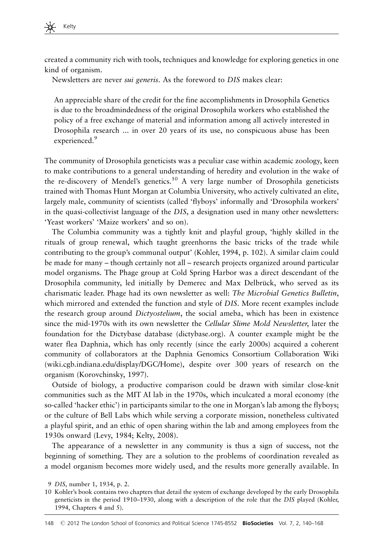created a community rich with tools, techniques and knowledge for exploring genetics in one kind of organism.

Newsletters are never *sui generis*. As the foreword to DIS makes clear:

An appreciable share of the credit for the fine accomplishments in Drosophila Genetics is due to the broadmindedness of the original Drosophila workers who established the policy of a free exchange of material and information among all actively interested in Drosophila research ... in over 20 years of its use, no conspicuous abuse has been experienced.<sup>9</sup>

The community of Drosophila geneticists was a peculiar case within academic zoology, keen to make contributions to a general understanding of heredity and evolution in the wake of the re-discovery of Mendel's genetics.<sup>10</sup> A very large number of Drosophila geneticists trained with Thomas Hunt Morgan at Columbia University, who actively cultivated an elite, largely male, community of scientists (called 'flyboys' informally and 'Drosophila workers' in the quasi-collectivist language of the DIS, a designation used in many other newsletters: 'Yeast workers' 'Maize workers' and so on).

The Columbia community was a tightly knit and playful group, 'highly skilled in the rituals of group renewal, which taught greenhorns the basic tricks of the trade while contributing to the group's communal output' (Kohler, 1994, p. 102). A similar claim could be made for many – though certainly not all – research projects organized around particular model organisms. The Phage group at Cold Spring Harbor was a direct descendant of the Drosophila community, led initially by Demerec and Max Delbrück, who served as its charismatic leader. Phage had its own newsletter as well: The Microbial Genetics Bulletin, which mirrored and extended the function and style of DIS. More recent examples include the research group around *Dictyostelium*, the social ameba, which has been in existence since the mid-1970s with its own newsletter the Cellular Slime Mold Newsletter, later the foundation for the Dictybase database (dictybase.org). A counter example might be the water flea Daphnia, which has only recently (since the early 2000s) acquired a coherent community of collaborators at the Daphnia Genomics Consortium Collaboration Wiki (wiki.cgb.indiana.edu/display/DGC/Home), despite over 300 years of research on the organism (Korovchinsky, 1997).

Outside of biology, a productive comparison could be drawn with similar close-knit communities such as the MIT AI lab in the 1970s, which inculcated a moral economy (the so-called 'hacker ethic') in participants similar to the one in Morgan's lab among the flyboys; or the culture of Bell Labs which while serving a corporate mission, nonetheless cultivated a playful spirit, and an ethic of open sharing within the lab and among employees from the 1930s onward (Levy, 1984; Kelty, 2008).

The appearance of a newsletter in any community is thus a sign of success, not the beginning of something. They are a solution to the problems of coordination revealed as a model organism becomes more widely used, and the results more generally available. In

<sup>9</sup> DIS, number 1, 1934, p. 2.

<sup>10</sup> Kohler's book contains two chapters that detail the system of exchange developed by the early Drosophila geneticists in the period 1910–1930, along with a description of the role that the DIS played (Kohler, 1994, Chapters 4 and 5).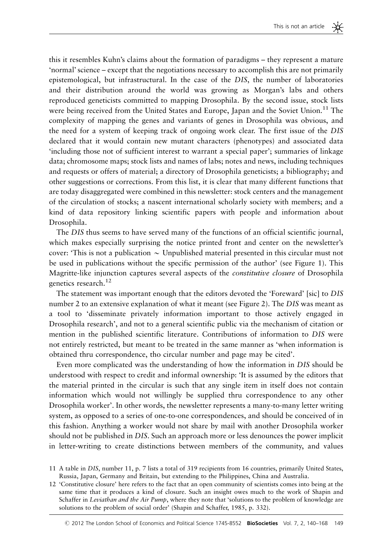this it resembles Kuhn's claims about the formation of paradigms – they represent a mature 'normal' science – except that the negotiations necessary to accomplish this are not primarily epistemological, but infrastructural. In the case of the DIS, the number of laboratories and their distribution around the world was growing as Morgan's labs and others reproduced geneticists committed to mapping Drosophila. By the second issue, stock lists were being received from the United States and Europe, Japan and the Soviet Union.<sup>11</sup> The complexity of mapping the genes and variants of genes in Drosophila was obvious, and the need for a system of keeping track of ongoing work clear. The first issue of the DIS declared that it would contain new mutant characters (phenotypes) and associated data 'including those not of sufficient interest to warrant a special paper'; summaries of linkage data; chromosome maps; stock lists and names of labs; notes and news, including techniques and requests or offers of material; a directory of Drosophila geneticists; a bibliography; and other suggestions or corrections. From this list, it is clear that many different functions that are today disaggregated were combined in this newsletter: stock centers and the management of the circulation of stocks; a nascent international scholarly society with members; and a kind of data repository linking scientific papers with people and information about Drosophila.

The DIS thus seems to have served many of the functions of an official scientific journal, which makes especially surprising the notice printed front and center on the newsletter's cover: 'This is not a publication  $\sim$  Unpublished material presented in this circular must not be used in publications without the specific permission of the author' (see Figure 1). This Magritte-like injunction captures several aspects of the constitutive closure of Drosophila genetics research.<sup>12</sup>

The statement was important enough that the editors devoted the 'Foreward' [sic] to DIS number 2 to an extensive explanation of what it meant (see Figure 2). The DIS was meant as a tool to 'disseminate privately information important to those actively engaged in Drosophila research', and not to a general scientific public via the mechanism of citation or mention in the published scientific literature. Contributions of information to DIS were not entirely restricted, but meant to be treated in the same manner as 'when information is obtained thru correspondence, tho circular number and page may be cited'.

Even more complicated was the understanding of how the information in DIS should be understood with respect to credit and informal ownership: 'It is assumed by the editors that the material printed in the circular is such that any single item in itself does not contain information which would not willingly be supplied thru correspondence to any other Drosophila worker'. In other words, the newsletter represents a many-to-many letter writing system, as opposed to a series of one-to-one correspondences, and should be conceived of in this fashion. Anything a worker would not share by mail with another Drosophila worker should not be published in DIS. Such an approach more or less denounces the power implicit in letter-writing to create distinctions between members of the community, and values

<sup>11</sup> A table in DIS, number 11, p. 7 lists a total of 319 recipients from 16 countries, primarily United States, Russia, Japan, Germany and Britain, but extending to the Philippines, China and Australia.

<sup>12 &#</sup>x27;Constitutive closure' here refers to the fact that an open community of scientists comes into being at the same time that it produces a kind of closure. Such an insight owes much to the work of Shapin and Schaffer in Leviathan and the Air Pump, where they note that 'solutions to the problem of knowledge are solutions to the problem of social order' (Shapin and Schaffer, 1985, p. 332).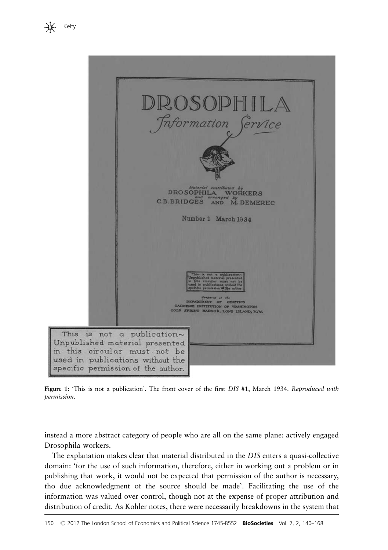



Figure 1: 'This is not a publication'. The front cover of the first DIS #1, March 1934. Reproduced with permission.

instead a more abstract category of people who are all on the same plane: actively engaged Drosophila workers.

The explanation makes clear that material distributed in the DIS enters a quasi-collective domain: 'for the use of such information, therefore, either in working out a problem or in publishing that work, it would not be expected that permission of the author is necessary, tho due acknowledgment of the source should be made'. Facilitating the use of the information was valued over control, though not at the expense of proper attribution and distribution of credit. As Kohler notes, there were necessarily breakdowns in the system that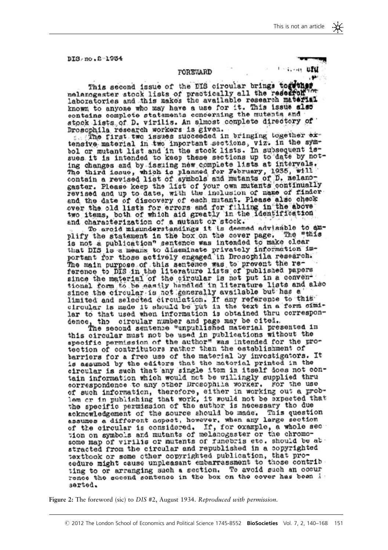**Same Bru** 

۰.

DIS / no. 2-1934

#### **FOREWARD**

This second issue of the DIS circular brings together melanogaster stock lists of practically all the research material laboratories and this makes the available research material known to anyone who may have a use for it. This issue also contains complete statements concerning the mutants and stock lists of D. virilis. An almost complete directory of Drosophila research workers is given.

The first two issues succeeded in bringing together extensive material in two important sections, viz. in the sym-<br>bol or mutant list and in the stock lists. In subsequent is-<br>sues it is intended to keep these sections up to date by noting changes and by issuing new complete lists at intervals. The third issue, which is planned for February, 1935, will contain a revised list of symbols and mutants of D. melanogaster. Please keep the list of your own mutants continually revised and up to date, with the inclusion of name of finder and the date of discovery of each mutant. Please also check over the old lists for errors and for filling in the above two items, both of which aid greatly in the identification and characterization of a mutant or stock.

To avoid misunderstandings it is deemed advisable to amplify the statement in the box on the cover page. The "this is not a publication" sentence was intended to make clear that DIS is a means to diseminate privately information important for those actively engaged in Drosophila research. The main purpose of this sentence was to prevent the re-<br>ference to DIS in the literature lists of published papers<br>since the material of the circular is not put in a conventional form to be easily handled in literature lists and also since the circular is not generally available but has a limited and selected circulation. If any reference to this circular is made it should be put in the text in a form oimilar to that used when information is obtained thru corresponthe circular number and page may be cited. dence,

The second sentence "unpublished material presented in this circular must not be used in publications without the specific permission of the author" was intended for the protection of contributors rather than the establishment of barriers for a free use of the material by invostigators. It is assumed by the editors that the material printed in the is assumed by the satisfs that the material prints in the<br>circular is such that any single item in itself does not con-<br>tain information which would not be willingly supplied thru<br>correspondence to any other Dresophila wor acknowledgement of the source should be made. This question assumes a different aspect, however, when any large section of the circular is considered. If, for oxample, a whole section on symbols and mutants of melanogester or the chromosome map of virilis or mutants of funebris etc. should be at stracted from the circular and republished in a copyrighted textbook or some other copyrighted publication, that pro-eedure might cause unpleasant embarrassment to those contrib ting to or arranging such a section. To avoid such an occur rence the second sontence in the box on the cover has been i serted.

Figure 2: The foreword (sic) to DIS #2, August 1934. Reproduced with permission.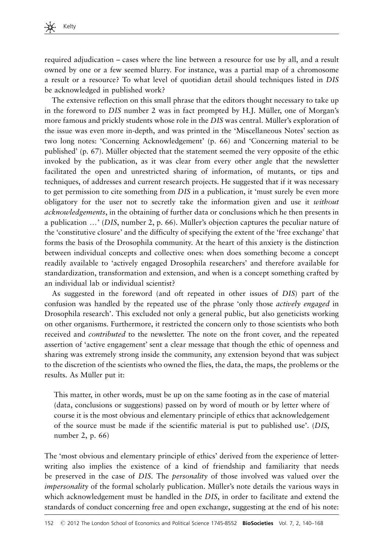required adjudication – cases where the line between a resource for use by all, and a result owned by one or a few seemed blurry. For instance, was a partial map of a chromosome a result or a resource? To what level of quotidian detail should techniques listed in DIS be acknowledged in published work?

The extensive reflection on this small phrase that the editors thought necessary to take up in the foreword to  $DIS$  number 2 was in fact prompted by  $H.I.$  Müller, one of Morgan's more famous and prickly students whose role in the DIS was central. Müller's exploration of the issue was even more in-depth, and was printed in the 'Miscellaneous Notes' section as two long notes: 'Concerning Acknowledgement' (p. 66) and 'Concerning material to be published' (p. 67). Müller objected that the statement seemed the very opposite of the ethic invoked by the publication, as it was clear from every other angle that the newsletter facilitated the open and unrestricted sharing of information, of mutants, or tips and techniques, of addresses and current research projects. He suggested that if it was necessary to get permission to cite something from DIS in a publication, it 'must surely be even more obligatory for the user not to secretly take the information given and use it *without* acknowledgements, in the obtaining of further data or conclusions which he then presents in a publication  $\ldots'$  (DIS, number 2, p. 66). Müller's objection captures the peculiar nature of the 'constitutive closure' and the difficulty of specifying the extent of the 'free exchange' that forms the basis of the Drosophila community. At the heart of this anxiety is the distinction between individual concepts and collective ones: when does something become a concept readily available to 'actively engaged Drosophila researchers' and therefore available for standardization, transformation and extension, and when is a concept something crafted by an individual lab or individual scientist?

As suggested in the foreword (and oft repeated in other issues of DIS) part of the confusion was handled by the repeated use of the phrase 'only those *actively engaged* in Drosophila research'. This excluded not only a general public, but also geneticists working on other organisms. Furthermore, it restricted the concern only to those scientists who both received and contributed to the newsletter. The note on the front cover, and the repeated assertion of 'active engagement' sent a clear message that though the ethic of openness and sharing was extremely strong inside the community, any extension beyond that was subject to the discretion of the scientists who owned the flies, the data, the maps, the problems or the results. As Müller put it:

This matter, in other words, must be up on the same footing as in the case of material (data, conclusions or suggestions) passed on by word of mouth or by letter where of course it is the most obvious and elementary principle of ethics that acknowledgement of the source must be made if the scientific material is put to published use'. (DIS, number 2, p. 66)

The 'most obvious and elementary principle of ethics' derived from the experience of letterwriting also implies the existence of a kind of friendship and familiarity that needs be preserved in the case of DIS. The *personality* of those involved was valued over the *impersonality* of the formal scholarly publication. Müller's note details the various ways in which acknowledgement must be handled in the DIS, in order to facilitate and extend the standards of conduct concerning free and open exchange, suggesting at the end of his note: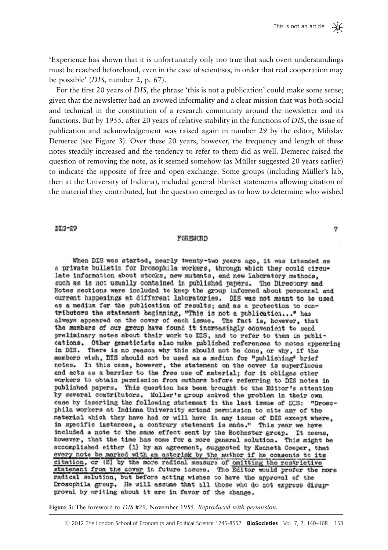7

'Experience has shown that it is unfortunately only too true that such overt understandings must be reached beforehand, even in the case of scientists, in order that real cooperation may be possible' (DIS, number 2, p. 67).

For the first 20 years of DIS, the phrase 'this is not a publication' could make some sense; given that the newsletter had an avowed informality and a clear mission that was both social and technical in the constitution of a research community around the newsletter and its functions. But by 1955, after 20 years of relative stability in the functions of DIS, the issue of publication and acknowledgement was raised again in number 29 by the editor, Milislav Demerec (see Figure 3). Over these 20 years, however, the frequency and length of these notes steadily increased and the tendency to refer to them did as well. Demerec raised the question of removing the note, as it seemed somehow (as Müller suggested 20 years earlier) to indicate the opposite of free and open exchange. Some groups (including Müller's lab, then at the University of Indiana), included general blanket statements allowing citation of the material they contributed, but the question emerged as to how to determine who wished

#### DIS-29

#### FOREWORD

When DIS was started, nearly twenty-two years ago, it was intended as a private bulletin for Drosophila workers, through which they could circulate information about stocks, new mutents, and new laboratory methods, such as is not usually contained in published papers. The Directory and Notes sections were included to keep the group informed about personnel and current happenings at different laboratories. DIS was not meant to be used as a medium for the publication of results; and as a protection to contributors the statement beginning, "This is not a publication..." has always appeared on the cover of each issue. The fact is, however, that the members of our group have found it increasingly convenient to send preliminary notes about their work to DIS, and to refer to them in publications. Other geneticists also make published references to notes appearing in DIS. There is no reason why this should not be done, or why, if the members wish, DIS should not be used as a mediun for "publishing" brief notes. In this case, however, the statement on the cover is superfluous and acts as a barrier to the free use of material; for it obliges other vorkers to obtain permission from euthors before referring to DIS notes in published papers. This question has been brought to the Editor's attention ty several contributors. Muller's group solved the problem in their own case by inserting the following statement in the last issue of DIS: "Drosophila workers at Indiana University extend permission to cite any of the material which they have had or will have in any issue of DIS except where, in specific instances, a contrary statement is made." This year we have included a note to the same effect sent by the Rochester group. It seems. however, that the time has come for a more general solution. This might be accomplished either (1) by an agreement, suggested by Kenneth Cooper, that every note be marked with an asterisk by the author if he consents to its citation, or (2) by the more radical measure of omitting the restrictive statement from the cover in future issues. The Editor would prefer the more radical solution, but before acting wishes to have the approval of the Prosophila group. He will assume that all those who do not express disapproval by writing about it are in favor of the change.

Figure 3: The foreword to DIS #29, November 1955. Reproduced with permission.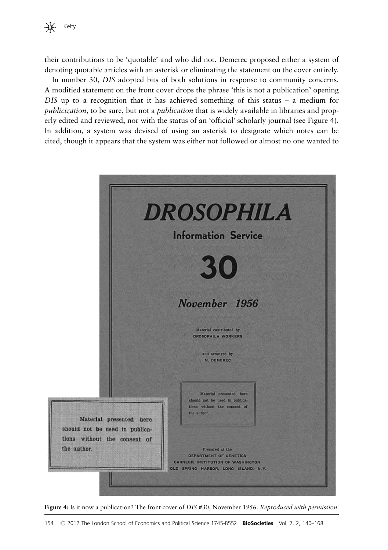their contributions to be 'quotable' and who did not. Demerec proposed either a system of denoting quotable articles with an asterisk or eliminating the statement on the cover entirely.

In number 30, DIS adopted bits of both solutions in response to community concerns. A modified statement on the front cover drops the phrase 'this is not a publication' opening DIS up to a recognition that it has achieved something of this status – a medium for publicization, to be sure, but not a *publication* that is widely available in libraries and properly edited and reviewed, nor with the status of an 'official' scholarly journal (see Figure 4). In addition, a system was devised of using an asterisk to designate which notes can be cited, though it appears that the system was either not followed or almost no one wanted to



Figure 4: Is it now a publication? The front cover of DIS #30, November 1956. Reproduced with permission.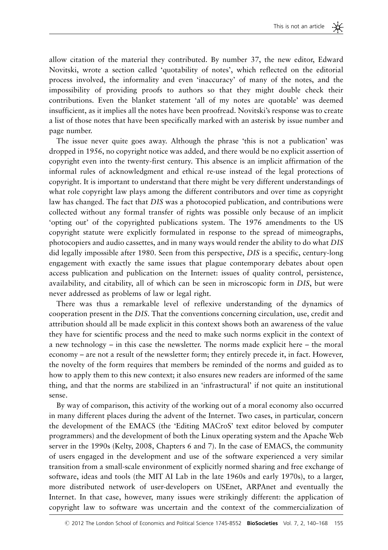allow citation of the material they contributed. By number 37, the new editor, Edward Novitski, wrote a section called 'quotability of notes', which reflected on the editorial process involved, the informality and even 'inaccuracy' of many of the notes, and the impossibility of providing proofs to authors so that they might double check their contributions. Even the blanket statement 'all of my notes are quotable' was deemed insufficient, as it implies all the notes have been proofread. Novitski's response was to create a list of those notes that have been specifically marked with an asterisk by issue number and page number.

The issue never quite goes away. Although the phrase 'this is not a publication' was dropped in 1956, no copyright notice was added, and there would be no explicit assertion of copyright even into the twenty-first century. This absence is an implicit affirmation of the informal rules of acknowledgment and ethical re-use instead of the legal protections of copyright. It is important to understand that there might be very different understandings of what role copyright law plays among the different contributors and over time as copyright law has changed. The fact that DIS was a photocopied publication, and contributions were collected without any formal transfer of rights was possible only because of an implicit 'opting out' of the copyrighted publications system. The 1976 amendments to the US copyright statute were explicitly formulated in response to the spread of mimeographs, photocopiers and audio cassettes, and in many ways would render the ability to do what DIS did legally impossible after 1980. Seen from this perspective, DIS is a specific, century-long engagement with exactly the same issues that plague contemporary debates about open access publication and publication on the Internet: issues of quality control, persistence, availability, and citability, all of which can be seen in microscopic form in DIS, but were never addressed as problems of law or legal right.

There was thus a remarkable level of reflexive understanding of the dynamics of cooperation present in the DIS. That the conventions concerning circulation, use, credit and attribution should all be made explicit in this context shows both an awareness of the value they have for scientific process and the need to make such norms explicit in the context of a new technology – in this case the newsletter. The norms made explicit here – the moral economy – are not a result of the newsletter form; they entirely precede it, in fact. However, the novelty of the form requires that members be reminded of the norms and guided as to how to apply them to this new context; it also ensures new readers are informed of the same thing, and that the norms are stabilized in an 'infrastructural' if not quite an institutional sense.

By way of comparison, this activity of the working out of a moral economy also occurred in many different places during the advent of the Internet. Two cases, in particular, concern the development of the EMACS (the 'Editing MACroS' text editor beloved by computer programmers) and the development of both the Linux operating system and the Apache Web server in the 1990s (Kelty, 2008, Chapters 6 and 7). In the case of EMACS, the community of users engaged in the development and use of the software experienced a very similar transition from a small-scale environment of explicitly normed sharing and free exchange of software, ideas and tools (the MIT AI Lab in the late 1960s and early 1970s), to a larger, more distributed network of user-developers on USEnet, ARPAnet and eventually the Internet. In that case, however, many issues were strikingly different: the application of copyright law to software was uncertain and the context of the commercialization of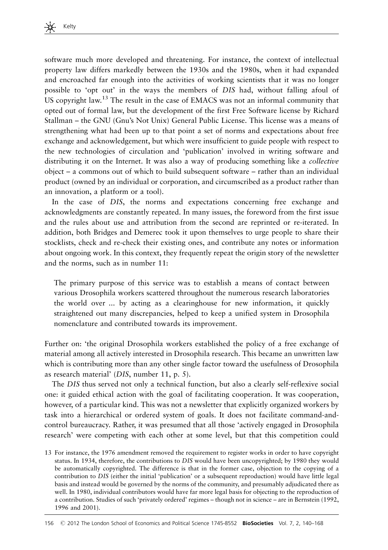software much more developed and threatening. For instance, the context of intellectual property law differs markedly between the 1930s and the 1980s, when it had expanded and encroached far enough into the activities of working scientists that it was no longer possible to 'opt out' in the ways the members of DIS had, without falling afoul of US copyright law.<sup>13</sup> The result in the case of EMACS was not an informal community that opted out of formal law, but the development of the first Free Software license by Richard Stallman – the GNU (Gnu's Not Unix) General Public License. This license was a means of strengthening what had been up to that point a set of norms and expectations about free exchange and acknowledgement, but which were insufficient to guide people with respect to the new technologies of circulation and 'publication' involved in writing software and distributing it on the Internet. It was also a way of producing something like a *collective* object – a commons out of which to build subsequent software – rather than an individual product (owned by an individual or corporation, and circumscribed as a product rather than an innovation, a platform or a tool).

In the case of DIS, the norms and expectations concerning free exchange and acknowledgments are constantly repeated. In many issues, the foreword from the first issue and the rules about use and attribution from the second are reprinted or re-iterated. In addition, both Bridges and Demerec took it upon themselves to urge people to share their stocklists, check and re-check their existing ones, and contribute any notes or information about ongoing work. In this context, they frequently repeat the origin story of the newsletter and the norms, such as in number 11:

The primary purpose of this service was to establish a means of contact between various Drosophila workers scattered throughout the numerous research laboratories the world over ... by acting as a clearinghouse for new information, it quickly straightened out many discrepancies, helped to keep a unified system in Drosophila nomenclature and contributed towards its improvement.

Further on: 'the original Drosophila workers established the policy of a free exchange of material among all actively interested in Drosophila research. This became an unwritten law which is contributing more than any other single factor toward the usefulness of Drosophila as research material' (DIS, number 11, p. 5).

The DIS thus served not only a technical function, but also a clearly self-reflexive social one: it guided ethical action with the goal of facilitating cooperation. It was cooperation, however, of a particular kind. This was not a newsletter that explicitly organized workers by task into a hierarchical or ordered system of goals. It does not facilitate command-andcontrol bureaucracy. Rather, it was presumed that all those 'actively engaged in Drosophila research' were competing with each other at some level, but that this competition could

<sup>13</sup> For instance, the 1976 amendment removed the requirement to register works in order to have copyright status. In 1934, therefore, the contributions to DIS would have been uncopyrighted; by 1980 they would be automatically copyrighted. The difference is that in the former case, objection to the copying of a contribution to DIS (either the initial 'publication' or a subsequent reproduction) would have little legal basis and instead would be governed by the norms of the community, and presumably adjudicated there as well. In 1980, individual contributors would have far more legal basis for objecting to the reproduction of a contribution. Studies of such 'privately ordered' regimes – though not in science – are in Bernstein (1992, 1996 and 2001).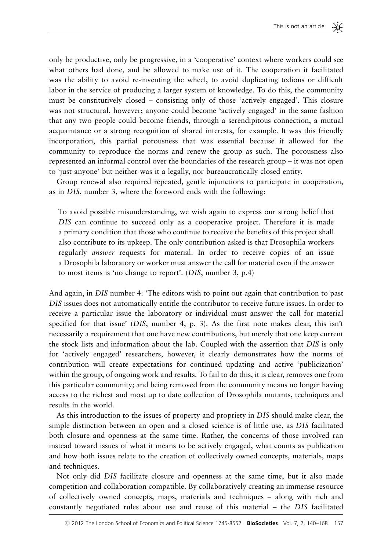only be productive, only be progressive, in a 'cooperative' context where workers could see what others had done, and be allowed to make use of it. The cooperation it facilitated was the ability to avoid re-inventing the wheel, to avoid duplicating tedious or difficult labor in the service of producing a larger system of knowledge. To do this, the community must be constitutively closed – consisting only of those 'actively engaged'. This closure was not structural, however; anyone could become 'actively engaged' in the same fashion that any two people could become friends, through a serendipitous connection, a mutual acquaintance or a strong recognition of shared interests, for example. It was this friendly incorporation, this partial porousness that was essential because it allowed for the community to reproduce the norms and renew the group as such. The porousness also represented an informal control over the boundaries of the research group – it was not open to 'just anyone' but neither was it a legally, nor bureaucratically closed entity.

Group renewal also required repeated, gentle injunctions to participate in cooperation, as in DIS, number 3, where the foreword ends with the following:

To avoid possible misunderstanding, we wish again to express our strong belief that DIS can continue to succeed only as a cooperative project. Therefore it is made a primary condition that those who continue to receive the benefits of this project shall also contribute to its upkeep. The only contribution asked is that Drosophila workers regularly answer requests for material. In order to receive copies of an issue a Drosophila laboratory or worker must answer the call for material even if the answer to most items is 'no change to report'. (DIS, number 3, p.4)

And again, in DIS number 4: 'The editors wish to point out again that contribution to past DIS issues does not automatically entitle the contributor to receive future issues. In order to receive a particular issue the laboratory or individual must answer the call for material specified for that issue' (DIS, number 4, p. 3). As the first note makes clear, this isn't necessarily a requirement that one have new contributions, but merely that one keep current the stock lists and information about the lab. Coupled with the assertion that DIS is only for 'actively engaged' researchers, however, it clearly demonstrates how the norms of contribution will create expectations for continued updating and active 'publicization' within the group, of ongoing work and results. To fail to do this, it is clear, removes one from this particular community; and being removed from the community means no longer having access to the richest and most up to date collection of Drosophila mutants, techniques and results in the world.

As this introduction to the issues of property and propriety in DIS should make clear, the simple distinction between an open and a closed science is of little use, as DIS facilitated both closure and openness at the same time. Rather, the concerns of those involved ran instead toward issues of what it means to be actively engaged, what counts as publication and how both issues relate to the creation of collectively owned concepts, materials, maps and techniques.

Not only did DIS facilitate closure and openness at the same time, but it also made competition and collaboration compatible. By collaboratively creating an immense resource of collectively owned concepts, maps, materials and techniques – along with rich and constantly negotiated rules about use and reuse of this material – the DIS facilitated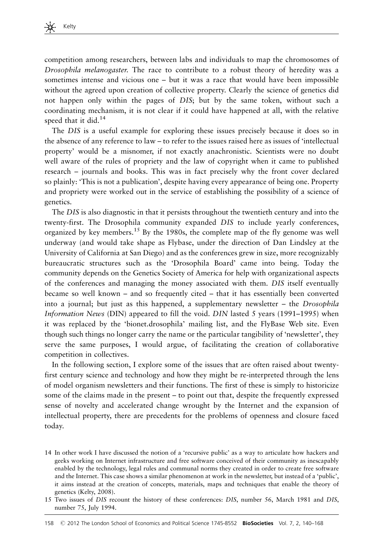competition among researchers, between labs and individuals to map the chromosomes of Drosophila melanogaster. The race to contribute to a robust theory of heredity was a sometimes intense and vicious one – but it was a race that would have been impossible without the agreed upon creation of collective property. Clearly the science of genetics did not happen only within the pages of DIS; but by the same token, without such a coordinating mechanism, it is not clear if it could have happened at all, with the relative speed that it did.<sup>14</sup>

The DIS is a useful example for exploring these issues precisely because it does so in the absence of any reference to law – to refer to the issues raised here as issues of 'intellectual property' would be a misnomer, if not exactly anachronistic. Scientists were no doubt well aware of the rules of propriety and the law of copyright when it came to published research – journals and books. This was in fact precisely why the front cover declared so plainly: 'This is not a publication', despite having every appearance of being one. Property and propriety were worked out in the service of establishing the possibility of a science of genetics.

The DIS is also diagnostic in that it persists throughout the twentieth century and into the twenty-first. The Drosophila community expanded DIS to include yearly conferences, organized by key members.<sup>15</sup> By the 1980s, the complete map of the fly genome was well underway (and would take shape as Flybase, under the direction of Dan Lindsley at the University of California at San Diego) and as the conferences grew in size, more recognizably bureaucratic structures such as the 'Drosophila Board' came into being. Today the community depends on the Genetics Society of America for help with organizational aspects of the conferences and managing the money associated with them. DIS itself eventually became so well known – and so frequently cited – that it has essentially been converted into a journal; but just as this happened, a supplementary newsletter – the Drosophila Information News (DIN) appeared to fill the void. DIN lasted 5 years (1991–1995) when it was replaced by the 'bionet.drosophila' mailing list, and the FlyBase Web site. Even though such things no longer carry the name or the particular tangibility of 'newsletter', they serve the same purposes, I would argue, of facilitating the creation of collaborative competition in collectives.

In the following section, I explore some of the issues that are often raised about twentyfirst century science and technology and how they might be re-interpreted through the lens of model organism newsletters and their functions. The first of these is simply to historicize some of the claims made in the present – to point out that, despite the frequently expressed sense of novelty and accelerated change wrought by the Internet and the expansion of intellectual property, there are precedents for the problems of openness and closure faced today.

<sup>14</sup> In other work I have discussed the notion of a 'recursive public' as a way to articulate how hackers and geeks working on Internet infrastructure and free software conceived of their community as inescapably enabled by the technology, legal rules and communal norms they created in order to create free software and the Internet. This case shows a similar phenomenon at work in the newsletter, but instead of a 'public', it aims instead at the creation of concepts, materials, maps and techniques that enable the theory of genetics (Kelty, 2008).

<sup>15</sup> Two issues of DIS recount the history of these conferences: DIS, number 56, March 1981 and DIS, number 75, July 1994.

<sup>158</sup> C 2012 The London School of Economics and Political Science 1745-8552 BioSocieties Vol. 7, 2, 140-168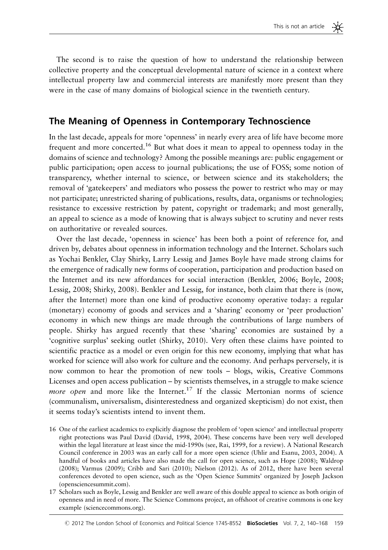The second is to raise the question of how to understand the relationship between collective property and the conceptual developmental nature of science in a context where intellectual property law and commercial interests are manifestly more present than they were in the case of many domains of biological science in the twentieth century.

# The Meaning of Openness in Contemporary Technoscience

In the last decade, appeals for more 'openness' in nearly every area of life have become more frequent and more concerted.<sup>16</sup> But what does it mean to appeal to openness today in the domains of science and technology? Among the possible meanings are: public engagement or public participation; open access to journal publications; the use of FOSS; some notion of transparency, whether internal to science, or between science and its stakeholders; the removal of 'gatekeepers' and mediators who possess the power to restrict who may or may not participate; unrestricted sharing of publications, results, data, organisms or technologies; resistance to excessive restriction by patent, copyright or trademark; and most generally, an appeal to science as a mode of knowing that is always subject to scrutiny and never rests on authoritative or revealed sources.

Over the last decade, 'openness in science' has been both a point of reference for, and driven by, debates about openness in information technology and the Internet. Scholars such as Yochai Benkler, Clay Shirky, Larry Lessig and James Boyle have made strong claims for the emergence of radically new forms of cooperation, participation and production based on the Internet and its new affordances for social interaction (Benkler, 2006; Boyle, 2008; Lessig, 2008; Shirky, 2008). Benkler and Lessig, for instance, both claim that there is (now, after the Internet) more than one kind of productive economy operative today: a regular (monetary) economy of goods and services and a 'sharing' economy or 'peer production' economy in which new things are made through the contributions of large numbers of people. Shirky has argued recently that these 'sharing' economies are sustained by a 'cognitive surplus' seeking outlet (Shirky, 2010). Very often these claims have pointed to scientific practice as a model or even origin for this new economy, implying that what has worked for science will also work for culture and the economy. And perhaps perversely, it is now common to hear the promotion of new tools – blogs, wikis, Creative Commons Licenses and open access publication – by scientists themselves, in a struggle to make science *more open* and more like the Internet.<sup>17</sup> If the classic Mertonian norms of science (communalism, universalism, disinterestedness and organized skepticism) do not exist, then it seems today's scientists intend to invent them.

16 One of the earliest academics to explicitly diagnose the problem of 'open science' and intellectual property right protections was Paul David (David, 1998, 2004). These concerns have been very well developed within the legal literature at least since the mid-1990s (see, Rai, 1999, for a review). A National Research Council conference in 2003 was an early call for a more open science (Uhlir and Esanu, 2003, 2004). A handful of books and articles have also made the call for open science, such as Hope (2008); Waldrop (2008); Varmus (2009); Cribb and Sari (2010); Nielson (2012). As of 2012, there have been several conferences devoted to open science, such as the 'Open Science Summits' organized by Joseph Jackson (opensciencesummit.com).

17 Scholars such as Boyle, Lessig and Benkler are well aware of this double appeal to science as both origin of openness and in need of more. The Science Commons project, an offshoot of creative commons is one key example (sciencecommons.org).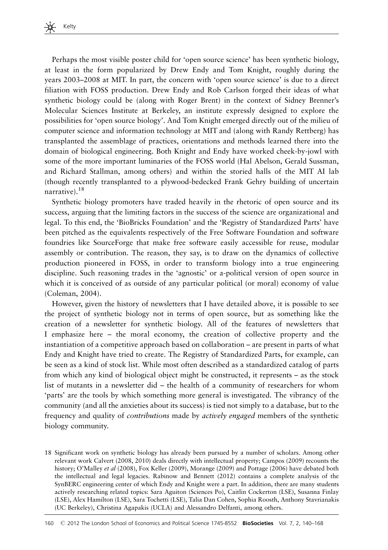Perhaps the most visible poster child for 'open source science' has been synthetic biology, at least in the form popularized by Drew Endy and Tom Knight, roughly during the years 2003–2008 at MIT. In part, the concern with 'open source science' is due to a direct filiation with FOSS production. Drew Endy and Rob Carlson forged their ideas of what synthetic biology could be (along with Roger Brent) in the context of Sidney Brenner's Molecular Sciences Institute at Berkeley, an institute expressly designed to explore the possibilities for 'open source biology'. And Tom Knight emerged directly out of the milieu of computer science and information technology at MIT and (along with Randy Rettberg) has transplanted the assemblage of practices, orientations and methods learned there into the domain of biological engineering. Both Knight and Endy have worked cheek-by-jowl with some of the more important luminaries of the FOSS world (Hal Abelson, Gerald Sussman, and Richard Stallman, among others) and within the storied halls of the MIT AI lab (though recently transplanted to a plywood-bedecked Frank Gehry building of uncertain narrative).<sup>18</sup>

Synthetic biology promoters have traded heavily in the rhetoric of open source and its success, arguing that the limiting factors in the success of the science are organizational and legal. To this end, the 'BioBricks Foundation' and the 'Registry of Standardized Parts' have been pitched as the equivalents respectively of the Free Software Foundation and software foundries like SourceForge that make free software easily accessible for reuse, modular assembly or contribution. The reason, they say, is to draw on the dynamics of collective production pioneered in FOSS, in order to transform biology into a true engineering discipline. Such reasoning trades in the 'agnostic' or a-political version of open source in which it is conceived of as outside of any particular political (or moral) economy of value (Coleman, 2004).

However, given the history of newsletters that I have detailed above, it is possible to see the project of synthetic biology not in terms of open source, but as something like the creation of a newsletter for synthetic biology. All of the features of newsletters that I emphasize here – the moral economy, the creation of collective property and the instantiation of a competitive approach based on collaboration – are present in parts of what Endy and Knight have tried to create. The Registry of Standardized Parts, for example, can be seen as a kind of stock list. While most often described as a standardized catalog of parts from which any kind of biological object might be constructed, it represents – as the stock list of mutants in a newsletter did – the health of a community of researchers for whom 'parts' are the tools by which something more general is investigated. The vibrancy of the community (and all the anxieties about its success) is tied not simply to a database, but to the frequency and quality of contributions made by actively engaged members of the synthetic biology community.

<sup>18</sup> Significant work on synthetic biology has already been pursued by a number of scholars. Among other relevant work Calvert (2008, 2010) deals directly with intellectual property; Campos (2009) recounts the history; O'Malley et al (2008), Fox Keller (2009), Morange (2009) and Pottage (2006) have debated both the intellectual and legal legacies. Rabinow and Bennett (2012) contains a complete analysis of the SynBERC engineering center of which Endy and Knight were a part. In addition, there are many students actively researching related topics: Sara Aguiton (Sciences Po), Caitlin Cockerton (LSE), Susanna Finlay (LSE), Alex Hamilton (LSE), Sara Tochetti (LSE), Talia Dan Cohen, Sophia Roosth, Anthony Stavrianakis (UC Berkeley), Christina Agapakis (UCLA) and Alessandro Delfanti, among others.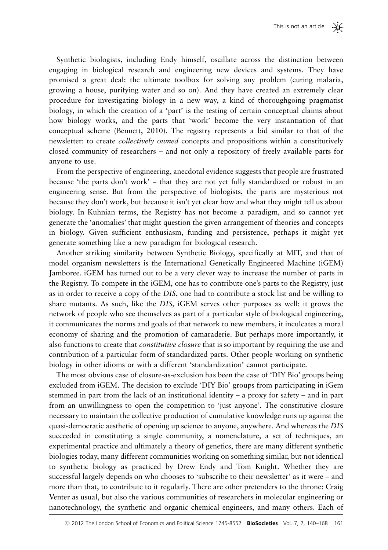Synthetic biologists, including Endy himself, oscillate across the distinction between engaging in biological research and engineering new devices and systems. They have promised a great deal: the ultimate toolbox for solving any problem (curing malaria, growing a house, purifying water and so on). And they have created an extremely clear procedure for investigating biology in a new way, a kind of thoroughgoing pragmatist biology, in which the creation of a 'part' is the testing of certain conceptual claims about how biology works, and the parts that 'work' become the very instantiation of that conceptual scheme (Bennett, 2010). The registry represents a bid similar to that of the newsletter: to create collectively owned concepts and propositions within a constitutively closed community of researchers – and not only a repository of freely available parts for anyone to use.

From the perspective of engineering, anecdotal evidence suggests that people are frustrated because 'the parts don't work' – that they are not yet fully standardized or robust in an engineering sense. But from the perspective of biologists, the parts are mysterious not because they don't work, but because it isn't yet clear how and what they might tell us about biology. In Kuhnian terms, the Registry has not become a paradigm, and so cannot yet generate the 'anomalies' that might question the given arrangement of theories and concepts in biology. Given sufficient enthusiasm, funding and persistence, perhaps it might yet generate something like a new paradigm for biological research.

Another striking similarity between Synthetic Biology, specifically at MIT, and that of model organism newsletters is the International Genetically Engineered Machine (iGEM) Jamboree. iGEM has turned out to be a very clever way to increase the number of parts in the Registry. To compete in the iGEM, one has to contribute one's parts to the Registry, just as in order to receive a copy of the DIS, one had to contribute a stock list and be willing to share mutants. As such, like the DIS, iGEM serves other purposes as well: it grows the network of people who see themselves as part of a particular style of biological engineering, it communicates the norms and goals of that network to new members, it inculcates a moral economy of sharing and the promotion of camaraderie. But perhaps more importantly, it also functions to create that *constitutive closure* that is so important by requiring the use and contribution of a particular form of standardized parts. Other people working on synthetic biology in other idioms or with a different 'standardization' cannot participate.

The most obvious case of closure-as-exclusion has been the case of 'DIY Bio' groups being excluded from iGEM. The decision to exclude 'DIY Bio' groups from participating in iGem stemmed in part from the lack of an institutional identity – a proxy for safety – and in part from an unwillingness to open the competition to 'just anyone'. The constitutive closure necessary to maintain the collective production of cumulative knowledge runs up against the quasi-democratic aesthetic of opening up science to anyone, anywhere. And whereas the DIS succeeded in constituting a single community, a nomenclature, a set of techniques, an experimental practice and ultimately a theory of genetics, there are many different synthetic biologies today, many different communities working on something similar, but not identical to synthetic biology as practiced by Drew Endy and Tom Knight. Whether they are successful largely depends on who chooses to 'subscribe to their newsletter' as it were – and more than that, to contribute to it regularly. There are other pretenders to the throne: Craig Venter as usual, but also the various communities of researchers in molecular engineering or nanotechnology, the synthetic and organic chemical engineers, and many others. Each of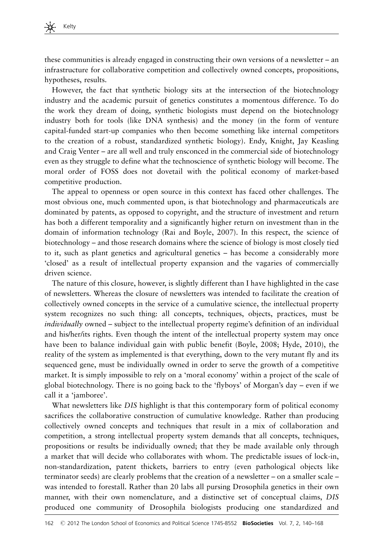these communities is already engaged in constructing their own versions of a newsletter – an infrastructure for collaborative competition and collectively owned concepts, propositions, hypotheses, results.

However, the fact that synthetic biology sits at the intersection of the biotechnology industry and the academic pursuit of genetics constitutes a momentous difference. To do the work they dream of doing, synthetic biologists must depend on the biotechnology industry both for tools (like DNA synthesis) and the money (in the form of venture capital-funded start-up companies who then become something like internal competitors to the creation of a robust, standardized synthetic biology). Endy, Knight, Jay Keasling and Craig Venter – are all well and truly ensconced in the commercial side of biotechnology even as they struggle to define what the technoscience of synthetic biology will become. The moral order of FOSS does not dovetail with the political economy of market-based competitive production.

The appeal to openness or open source in this context has faced other challenges. The most obvious one, much commented upon, is that biotechnology and pharmaceuticals are dominated by patents, as opposed to copyright, and the structure of investment and return has both a different temporality and a significantly higher return on investment than in the domain of information technology (Rai and Boyle, 2007). In this respect, the science of biotechnology – and those research domains where the science of biology is most closely tied to it, such as plant genetics and agricultural genetics – has become a considerably more 'closed' as a result of intellectual property expansion and the vagaries of commercially driven science.

The nature of this closure, however, is slightly different than I have highlighted in the case of newsletters. Whereas the closure of newsletters was intended to facilitate the creation of collectively owned concepts in the service of a cumulative science, the intellectual property system recognizes no such thing: all concepts, techniques, objects, practices, must be individually owned – subject to the intellectual property regime's definition of an individual and his/her/its rights. Even though the intent of the intellectual property system may once have been to balance individual gain with public benefit (Boyle, 2008; Hyde, 2010), the reality of the system as implemented is that everything, down to the very mutant fly and its sequenced gene, must be individually owned in order to serve the growth of a competitive market. It is simply impossible to rely on a 'moral economy' within a project of the scale of global biotechnology. There is no going back to the 'flyboys' of Morgan's day – even if we call it a 'jamboree'.

What newsletters like *DIS* highlight is that this contemporary form of political economy sacrifices the collaborative construction of cumulative knowledge. Rather than producing collectively owned concepts and techniques that result in a mix of collaboration and competition, a strong intellectual property system demands that all concepts, techniques, propositions or results be individually owned; that they be made available only through a market that will decide who collaborates with whom. The predictable issues of lock-in, non-standardization, patent thickets, barriers to entry (even pathological objects like terminator seeds) are clearly problems that the creation of a newsletter – on a smaller scale – was intended to forestall. Rather than 20 labs all pursing Drosophila genetics in their own manner, with their own nomenclature, and a distinctive set of conceptual claims, DIS produced one community of Drosophila biologists producing one standardized and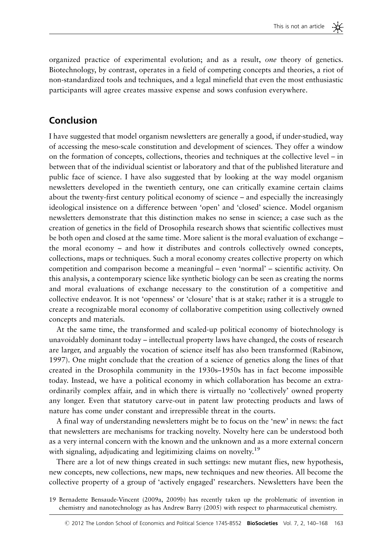organized practice of experimental evolution; and as a result, one theory of genetics. Biotechnology, by contrast, operates in a field of competing concepts and theories, a riot of non-standardized tools and techniques, and a legal minefield that even the most enthusiastic participants will agree creates massive expense and sows confusion everywhere.

# Conclusion

I have suggested that model organism newsletters are generally a good, if under-studied, way of accessing the meso-scale constitution and development of sciences. They offer a window on the formation of concepts, collections, theories and techniques at the collective level – in between that of the individual scientist or laboratory and that of the published literature and public face of science. I have also suggested that by looking at the way model organism newsletters developed in the twentieth century, one can critically examine certain claims about the twenty-first century political economy of science – and especially the increasingly ideological insistence on a difference between 'open' and 'closed' science. Model organism newsletters demonstrate that this distinction makes no sense in science; a case such as the creation of genetics in the field of Drosophila research shows that scientific collectives must be both open and closed at the same time. More salient is the moral evaluation of exchange – the moral economy – and how it distributes and controls collectively owned concepts, collections, maps or techniques. Such a moral economy creates collective property on which competition and comparison become a meaningful – even 'normal' – scientific activity. On this analysis, a contemporary science like synthetic biology can be seen as creating the norms and moral evaluations of exchange necessary to the constitution of a competitive and collective endeavor. It is not 'openness' or 'closure' that is at stake; rather it is a struggle to create a recognizable moral economy of collaborative competition using collectively owned concepts and materials.

At the same time, the transformed and scaled-up political economy of biotechnology is unavoidably dominant today – intellectual property laws have changed, the costs of research are larger, and arguably the vocation of science itself has also been transformed (Rabinow, 1997). One might conclude that the creation of a science of genetics along the lines of that created in the Drosophila community in the 1930s–1950s has in fact become impossible today. Instead, we have a political economy in which collaboration has become an extraordinarily complex affair, and in which there is virtually no 'collectively' owned property any longer. Even that statutory carve-out in patent law protecting products and laws of nature has come under constant and irrepressible threat in the courts.

A final way of understanding newsletters might be to focus on the 'new' in news: the fact that newsletters are mechanisms for tracking novelty. Novelty here can be understood both as a very internal concern with the known and the unknown and as a more external concern with signaling, adjudicating and legitimizing claims on novelty.<sup>19</sup>

There are a lot of new things created in such settings: new mutant flies, new hypothesis, new concepts, new collections, new maps, new techniques and new theories. All become the collective property of a group of 'actively engaged' researchers. Newsletters have been the

<sup>19</sup> Bernadette Bensaude-Vincent (2009a, 2009b) has recently taken up the problematic of invention in chemistry and nanotechnology as has Andrew Barry (2005) with respect to pharmaceutical chemistry.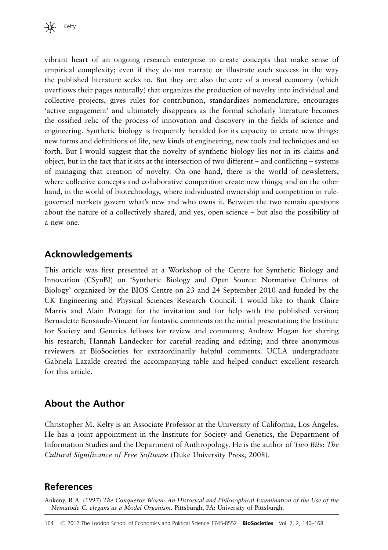vibrant heart of an ongoing research enterprise to create concepts that make sense of empirical complexity; even if they do not narrate or illustrate each success in the way the published literature seeks to. But they are also the core of a moral economy (which overflows their pages naturally) that organizes the production of novelty into individual and collective projects, gives rules for contribution, standardizes nomenclature, encourages 'active engagement' and ultimately disappears as the formal scholarly literature becomes the ossified relic of the process of innovation and discovery in the fields of science and engineering. Synthetic biology is frequently heralded for its capacity to create new things: new forms and definitions of life, new kinds of engineering, new tools and techniques and so forth. But I would suggest that the novelty of synthetic biology lies not in its claims and object, but in the fact that it sits at the intersection of two different – and conflicting – systems of managing that creation of novelty. On one hand, there is the world of newsletters, where collective concepts and collaborative competition create new things; and on the other hand, in the world of biotechnology, where individuated ownership and competition in rulegoverned markets govern what's new and who owns it. Between the two remain questions about the nature of a collectively shared, and yes, open science – but also the possibility of a new one.

# Acknowledgements

This article was first presented at a Workshop of the Centre for Synthetic Biology and Innovation (CSynBI) on 'Synthetic Biology and Open Source: Normative Cultures of Biology' organized by the BIOS Centre on 23 and 24 September 2010 and funded by the UK Engineering and Physical Sciences Research Council. I would like to thank Claire Marris and Alain Pottage for the invitation and for help with the published version; Bernadette Bensaude-Vincent for fantastic comments on the initial presentation; the Institute for Society and Genetics fellows for review and comments; Andrew Hogan for sharing his research; Hannah Landecker for careful reading and editing; and three anonymous reviewers at BioSocieties for extraordinarily helpful comments. UCLA undergraduate Gabriela Lazalde created the accompanying table and helped conduct excellent research for this article.

# About the Author

Christopher M. Kelty is an Associate Professor at the University of California, Los Angeles. He has a joint appointment in the Institute for Society and Genetics, the Department of Information Studies and the Department of Anthropology. He is the author of Two Bits: The Cultural Significance of Free Software (Duke University Press, 2008).

# References

Ankeny, R.A. (1997) The Conqueror Worm: An Historical and Philosophical Examination of the Use of the Nematode C. elegans as a Model Organism. Pittsburgh, PA: University of Pittsburgh.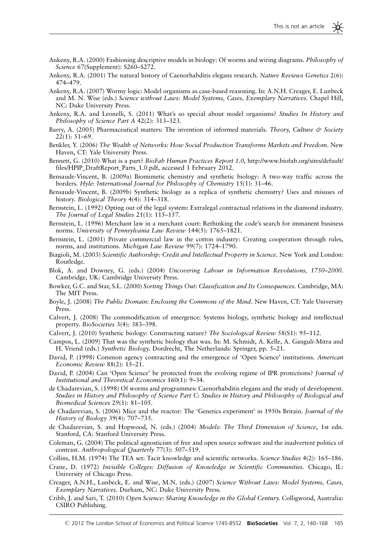- Ankeny, R.A. (2000) Fashioning descriptive models in biology: Of worms and wiring diagrams. *Philosophy of* Science 67(Supplement): S260-S272.
- Ankeny, R.A. (2001) The natural history of Caenorhabditis elegans research. Nature Reviews Genetics 2(6): 474–479.
- Ankeny, R.A. (2007) Wormy logic: Model organisms as case-based reasoning. In: A.N.H. Creager, E. Lunbeck and M. N. Wise (eds.) Science without Laws: Model Systems, Cases, Exemplary Narratives. Chapel Hill, NC: Duke University Press.
- Ankeny, R.A. and Leonelli, S. (2011) What's so special about model organisms? Studies In History and Philosophy of Science Part A 42(2): 313–323.
- Barry, A. (2005) Pharmaceutical matters: The invention of informed materials. Theory, Culture & Society 22(1): 51–69.
- Benkler, Y. (2006) The Wealth of Networks: How Social Production Transforms Markets and Freedom. New Haven, CT: Yale University Press.
- Bennett, G. (2010) What is a part? BioFab Human Practices Report 1.0, http://www.biofab.org/sites/default/ files/HPIP\_DraftReport\_Parts\_1.0.pdf, accessed 1 February 2012.
- Bensaude-Vincent, B. (2009a) Biomimetic chemistry and synthetic biology: A two-way traffic across the borders. Hyle: International Journal for Philosophy of Chemistry 15(1): 31–46.
- Bensaude-Vincent, B. (2009b) Synthetic biology as a replica of synthetic chemistry? Uses and misuses of history. Biological Theory 4(4): 314-318.
- Bernstein, L. (1992) Opting out of the legal system: Extralegal contractual relations in the diamond industry. The Journal of Legal Studies 21(1): 115–157.
- Bernstein, L. (1996) Merchant law in a merchant court: Rethinking the code's search for immanent business norms. University of Pennsylvania Law Review 144(5): 1765–1821.
- Bernstein, L. (2001) Private commercial law in the cotton industry: Creating cooperation through rules, norms, and institutions. Michigan Law Review 99(7): 1724–1790.
- Biagioli, M. (2003) Scientific Authorship: Credit and Intellectual Property in Science. New York and London: Routledge.
- Blok, A. and Downey, G. (eds.) (2004) Uncovering Labour in Information Revolutions, 1750–2000. Cambridge, UK: Cambridge University Press.
- Bowker, G.C. and Star, S.L. (2000) Sorting Things Out: Classification and Its Consequences. Cambridge, MA: The MIT Press.
- Boyle, J. (2008) The Public Domain: Enclosing the Commons of the Mind. New Haven, CT: Yale University Press.
- Calvert, J. (2008) The commodification of emergence: Systems biology, synthetic biology and intellectual property. BioSocieties 3(4): 383–398.
- Calvert, J. (2010) Synthetic biology: Constructing nature? The Sociological Review 58(S1): 95–112.
- Campos, L. (2009) That was the synthetic biology that was. In: M. Schmidt, A. Kelle, A. Ganguli-Mitra and H. Vriend (eds.) Synthetic Biology. Dordrecht, The Netherlands: Springer, pp. 5–21.
- David, P. (1998) Common agency contracting and the emergence of 'Open Science' institutions. American Economic Review 88(2): 15–21.
- David, P. (2004) Can 'Open Science' be protected from the evolving regime of IPR protections? Journal of Institutional and Theoretical Economics 160(1): 9–34.
- de Chadarevian, S. (1998) Of worms and programmes: Caenorhabditis elegans and the study of development. Studies in History and Philosophy of Science Part C: Studies in History and Philosophy of Biological and Biomedical Sciences 29(1): 81–105.
- de Chadarevian, S. (2006) Mice and the reactor: The 'Genetics experiment' in 1950s Britain. Journal of the History of Biology 39(4): 707–735.
- de Chadarevian, S. and Hopwood, N. (eds.) (2004) Models: The Third Dimension of Science, 1st edn. Stanford, CA: Stanford University Press.
- Coleman, G. (2004) The political agnosticism of free and open source software and the inadvertent politics of contrast. Anthropological Quarterly 77(3): 507–519.
- Collins, H.M. (1974) The TEA set: Tacit knowledge and scientific networks. Science Studies 4(2): 165–186.
- Crane, D. (1972) Invisible Colleges: Diffusion of Knowledge in Scientific Communities. Chicago, IL: University of Chicago Press.
- Creager, A.N.H., Lunbeck, E. and Wise, M.N. (eds.) (2007) Science Without Laws: Model Systems, Cases, Exemplary Narratives. Durham, NC: Duke University Press.
- Cribb, J. and Sari, T. (2010) Open Science: Sharing Knowledge in the Global Century. Colligwood, Australia: CSIRO Publishing.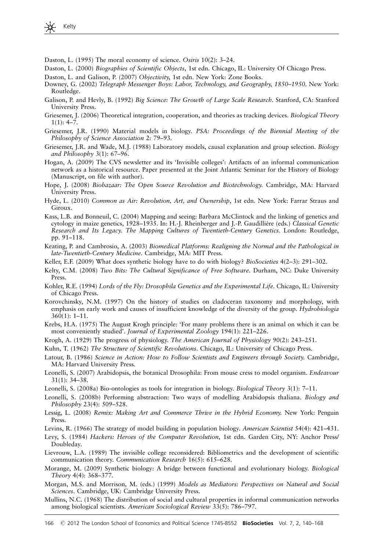- Daston, L. (1995) The moral economy of science. Osiris 10(2): 3–24.
- Daston, L. (2000) Biographies of Scientific Objects, 1st edn. Chicago, IL: University Of Chicago Press.
- Daston, L. and Galison, P. (2007) Objectivity, 1st edn. New York: Zone Books.
- Downey, G. (2002) Telegraph Messenger Boys: Labor, Technology, and Geography, 1850–1950. New York: Routledge.
- Galison, P. and Hevly, B. (1992) Big Science: The Growth of Large Scale Research. Stanford, CA: Stanford University Press.
- Griesemer, J. (2006) Theoretical integration, cooperation, and theories as tracking devices. Biological Theory  $1(1): 4-7.$
- Griesemer, J.R. (1990) Material models in biology. PSA: Proceedings of the Biennial Meeting of the Philosophy of Science Association 2: 79–93.
- Griesemer, J.R. and Wade, M.J. (1988) Laboratory models, causal explanation and group selection. Biology and Philosophy 3(1): 67–96.
- Hogan, A. (2009) The CVS newsletter and its 'Invisible colleges': Artifacts of an informal communication network as a historical resource. Paper presented at the Joint Atlantic Seminar for the History of Biology (Manuscript, on file with author).
- Hope, J. (2008) Biobazaar: The Open Source Revolution and Biotechnology. Cambridge, MA: Harvard University Press.
- Hyde, L. (2010) Common as Air: Revolution, Art, and Ownership, 1st edn. New York: Farrar Straus and Giroux.
- Kass, L.B. and Bonneuil, C. (2004) Mapping and seeing: Barbara McClintock and the linking of genetics and cytology in maize genetics, 1928–1935. In: H.-J. Rheinberger and J.-P. Gaudillière (eds.) Classical Genetic Research and Its Legacy. The Mapping Cultures of Twentieth-Century Genetics. London: Routledge, pp. 91–118.
- Keating, P. and Cambrosio, A. (2003) Biomedical Platforms: Realigning the Normal and the Pathological in late-Twentieth-Century Medicine. Cambridge, MA: MIT Press.
- Keller, E.F. (2009) What does synthetic biology have to do with biology? BioSocieties 4(2–3): 291–302.
- Kelty, C.M. (2008) Two Bits: The Cultural Significance of Free Software. Durham, NC: Duke University Press.
- Kohler, R.E. (1994) Lords of the Fly: Drosophila Genetics and the Experimental Life. Chicago, IL: University of Chicago Press.
- Korovchinsky, N.M. (1997) On the history of studies on cladoceran taxonomy and morphology, with emphasis on early work and causes of insufficient knowledge of the diversity of the group. Hydrobiologia 360(1): 1–11.
- Krebs, H.A. (1975) The August Krogh principle: 'For many problems there is an animal on which it can be most conveniently studied'. Journal of Experimental Zoology 194(1): 221–226.
- Krogh, A. (1929) The progress of physiology. The American Journal of Physiology 90(2): 243–251.
- Kuhn, T. (1962) The Structure of Scientific Revolutions. Chicago, IL: University of Chicago Press.
- Latour, B. (1986) Science in Action: How to Follow Scientists and Engineers through Society. Cambridge, MA: Harvard University Press.
- Leonelli, S. (2007) Arabidopsis, the botanical Drosophila: From mouse cress to model organism. Endeavour 31(1): 34–38.
- Leonelli, S. (2008a) Bio-ontologies as tools for integration in biology. Biological Theory 3(1): 7–11.
- Leonelli, S. (2008b) Performing abstraction: Two ways of modelling Arabidopsis thaliana. Biology and Philosophy 23(4): 509–528.
- Lessig, L. (2008) Remix: Making Art and Commerce Thrive in the Hybrid Economy. New York: Penguin Press.
- Levins, R. (1966) The strategy of model building in population biology. American Scientist 54(4): 421–431.
- Levy, S. (1984) Hackers: Heroes of the Computer Revolution, 1st edn. Garden City, NY: Anchor Press/ Doubleday.
- Lievrouw, L.A. (1989) The invisible college reconsidered: Bibliometrics and the development of scientific communication theory. Communication Research 16(5): 615–628.
- Morange, M. (2009) Synthetic biology: A bridge between functional and evolutionary biology. Biological Theory 4(4): 368–377.
- Morgan, M.S. and Morrison, M. (eds.) (1999) Models as Mediators: Perspectives on Natural and Social Sciences. Cambridge, UK: Cambridge University Press.
- Mullins, N.C. (1968) The distribution of social and cultural properties in informal communication networks among biological scientists. American Sociological Review 33(5): 786–797.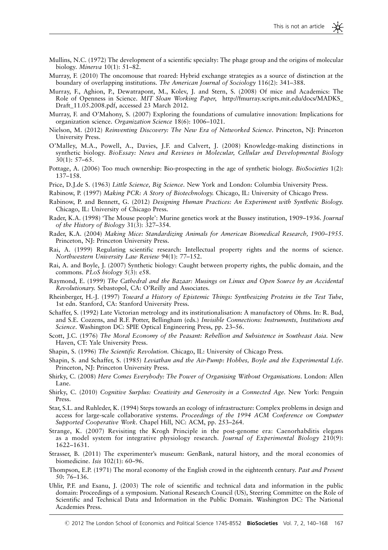- Mullins, N.C. (1972) The development of a scientific specialty: The phage group and the origins of molecular biology. Minerva 10(1): 51–82.
- Murray, F. (2010) The oncomouse that roared: Hybrid exchange strategies as a source of distinction at the boundary of overlapping institutions. The American Journal of Sociology 116(2): 341–388.
- Murray, F., Aghion, P., Dewatrapont, M., Kolev, J. and Stern, S. (2008) Of mice and Academics: The Role of Openness in Science. MIT Sloan Working Paper, http://fmurray.scripts.mit.edu/docs/MADKS\_ Draft\_11.05.2008.pdf, accessed 23 March 2012.
- Murray, F. and O'Mahony, S. (2007) Exploring the foundations of cumulative innovation: Implications for organization science. Organization Science 18(6): 1006–1021.
- Nielson, M. (2012) Reinventing Discovery: The New Era of Networked Science. Princeton, NJ: Princeton University Press.
- O'Malley, M.A., Powell, A., Davies, J.F. and Calvert, J. (2008) Knowledge-making distinctions in synthetic biology. BioEssay: News and Reviews in Molecular, Cellular and Developmental Biology 30(1): 57–65.
- Pottage, A. (2006) Too much ownership: Bio-prospecting in the age of synthetic biology. BioSocieties 1(2): 137–158.
- Price, D.J.de S. (1963) Little Science, Big Science. New York and London: Columbia University Press.
- Rabinow, P. (1997) Making PCR: A Story of Biotechnology. Chicago, IL: University of Chicago Press.
- Rabinow, P. and Bennett, G. (2012) Designing Human Practices: An Experiment with Synthetic Biology. Chicago, IL: University of Chicago Press.
- Rader, K.A. (1998) 'The Mouse people': Murine genetics work at the Bussey institution, 1909–1936. Journal of the History of Biology 31(3): 327–354.
- Rader, K.A. (2004) Making Mice: Standardizing Animals for American Biomedical Research, 1900–1955. Princeton, NJ: Princeton University Press.
- Rai, A. (1999) Regulating scientific research: Intellectual property rights and the norms of science. Northwestern University Law Review 94(1): 77–152.
- Rai, A. and Boyle, J. (2007) Synthetic biology: Caught between property rights, the public domain, and the commons. PLoS biology 5(3): e58.
- Raymond, E. (1999) The Cathedral and the Bazaar: Musings on Linux and Open Source by an Accidental Revolutionary. Sebastopol, CA: O'Reilly and Associates.
- Rheinberger, H.-J. (1997) Toward a History of Epistemic Things: Synthesizing Proteins in the Test Tube, 1st edn. Stanford, CA: Stanford University Press.
- Schaffer, S. (1992) Late Victorian metrology and its institutionalisation: A manufactory of Ohms. In: R. Bud, and S.E. Cozzens, and R.F. Potter, Bellingham (eds.) Invisible Connections: Instruments, Institutions and Science. Washington DC: SPIE Optical Engineering Press, pp. 23–56.
- Scott, J.C. (1976) The Moral Economy of the Peasant: Rebellion and Subsistence in Southeast Asia. New Haven, CT: Yale University Press.
- Shapin, S. (1996) The Scientific Revolution. Chicago, IL: University of Chicago Press.
- Shapin, S. and Schaffer, S. (1985) Leviathan and the Air-Pump: Hobbes, Boyle and the Experimental Life. Princeton, NJ: Princeton University Press.
- Shirky, C. (2008) Here Comes Everybody: The Power of Organising Without Organisations. London: Allen Lane.
- Shirky, C. (2010) Cognitive Surplus: Creativity and Generosity in a Connected Age. New York: Penguin Press.
- Star, S.L. and Ruhleder, K. (1994) Steps towards an ecology of infrastructure: Complex problems in design and access for large-scale collaborative systems. Proceedings of the 1994 ACM Conference on Computer Supported Cooperative Work. Chapel Hill, NC: ACM, pp. 253–264.
- Strange, K. (2007) Revisiting the Krogh Principle in the post-genome era: Caenorhabditis elegans as a model system for integrative physiology research. Journal of Experimental Biology 210(9): 1622–1631.
- Strasser, B. (2011) The experimenter's museum: GenBank, natural history, and the moral economies of biomedicine. Isis 102(1): 60–96.
- Thompson, E.P. (1971) The moral economy of the English crowd in the eighteenth century. Past and Present 50: 76–136.
- Uhlir, P.F. and Esanu, J. (2003) The role of scientific and technical data and information in the public domain: Proceedings of a symposium. National Research Council (US), Steering Committee on the Role of Scientific and Technical Data and Information in the Public Domain. Washington DC: The National Academies Press.